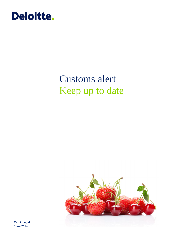

# Customs alert Keep up to date



**Tax & Legal June 2014**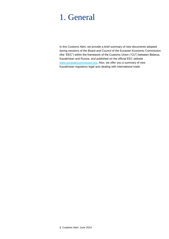### 1. General

In this Customs Alert, we provide a brief summary of new documents adopted during sessions of the Board and Council of the Eurasian Economic Commission (the "EEC") within the framework of the Customs Union ("CU") between Belarus, Kazakhstan and Russia, and published on the official EEC website [www.eurasiancommission.org.](http://www.eurasiancommission.org/) Also, we offer you a summary of new Kazakhstan regulatory legal acts dealing with international trade.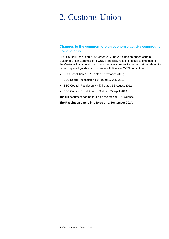# 2. Customs Union

#### **Changes to the common foreign economic activity commodity nomenclature**

EEC Council Resolution № 94 dated 25 June 2014 has amended certain Customs Union Commission ("CUC") and EEC resolutions due to changes to the Customs Union foreign economic activity commodity nomenclature related to certain types of goods in accordance with Russian WTO commitments:

- CUC Resolution № 815 dated 18 October 2011;
- EEC Board Resolution № 54 dated 16 July 2012;
- EEC Council Resolution № 134 dated 16 August 2012;
- EEC Council Resolution № 92 dated 24 April 2013.

The full document can be found on the official EEC website.

**The Resolution enters into force on 1 September 2014.**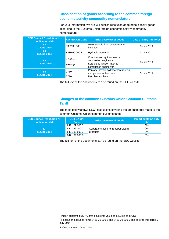#### **Classification of goods according to the common foreign economic activity commodity nomenclature**

For your information, we are will publish resolution adopted to classify goods according to the Customs Union foreign economic activity commodity nomenclature.

| <b>EEC Council Resolution Nº,</b><br>publication date | <b>CU FEA CN Code</b> | <b>Brief overview of goods</b>                               | Date of entry into force |  |
|-------------------------------------------------------|-----------------------|--------------------------------------------------------------|--------------------------|--|
| 83<br>3 June 2014                                     | 8302 30 000           | Motor vehicle front seat carriage<br>bindings                | 3 July 2014              |  |
| 84<br>3 June 2014                                     | 8430 69 000 8         | <b>Hydraulic hammer</b>                                      | 3 July 2014              |  |
| 85                                                    | 8702 10               | Compression ignition internal<br>combustion engine van       |                          |  |
| 3 June 2014                                           | 8702 90               | Spark plug ignition internal<br>combustion engine van        | 3 July 2014              |  |
| 86<br>5 June 2014                                     | 2710                  | Pentane-hexoic hydrocarbon fraction<br>and petroleum benzene | 5 July 2014              |  |
|                                                       | 2710                  | Petroleum solvent                                            |                          |  |

The full text of the documents can be found on the EEC website.

#### **Changes to the common Customs Union Common Customs Tariff**

The table below shows EEC Resolutions covering the amendments made to the common Customs Union common customs tariff:

| EEC Council Resolution No.<br><b>publication date</b> | <b>CU FEA CN</b><br>Code | <b>Brief overview of goods</b>                 | Import customs duty<br>rate <sup>'</sup> |
|-------------------------------------------------------|--------------------------|------------------------------------------------|------------------------------------------|
|                                                       | 8421 29 000 3            | Separators used to treat petroleum<br>products | 0%                                       |
| 87 <sup>2</sup>                                       | 8421 29 000 7            |                                                | 0%                                       |
| 5 June 2014                                           | 8421 39 800 2            |                                                | 0%                                       |
|                                                       | 8421 39 800 8            |                                                | 0%                                       |

The full text of the documents can be found on the EEC website.

l

 $1$  Import customs duty (% of the customs value or in Euros or in US\$)

 $^2$  Resolution excludes items 8421 29 000 8 and 8421 39 800 9 and entered into force 5 July 2014

**<sup>3</sup>** Customs Alert, June 2014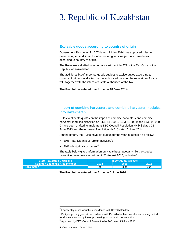# 3. Republic of Kazakhstan

#### **Excisable goods according to country of origin**

Government Resolution № 507 dated 19 May 2014 has approved rules for determining an additional list of imported goods subject to excise duties according to country of origin.

The Rules were drafted in accordance with article 279 of the Tax Code of the Republic of Kazakhstan.

The additional list of imported goods subject to excise duties according to country of origin was drafted by the authorised body for the regulation of trade with together with the interested state authorities of the RoK.

**The Resolution entered into force on 18 June 2014.**

#### **Import of combine harvesters and combine harvester modules into Kazakhstan**

Rules to allocate quotas on the import of combine harvesters and combine harvester modules classified as 8433 51 000 1, 8433 51 000 9 and 8433 90 000 0 have been drafted to implement EEC Council Resolution № 143 dated 25 June 2013 and Government Resolution № 616 dated 5 June 2014.

Among others, the Rules have set quotas for the year in question as follows:

- 30% participants of foreign activities<sup>3</sup>;
- 70% historical customers<sup>4</sup>.

The table below gives information on Kazakhstan quotas while the special protective measures are valid until 21 August 2016, inclusive<sup>5</sup>.

| <b>State – Customs Union and</b>   | Import quota (pieces) |      |      |
|------------------------------------|-----------------------|------|------|
| <b>Common Economic Area member</b> | 2014                  | 2015 | 2016 |
| $\blacksquare$ Kazakhstan          | 300                   | 309  | 204  |

**The Resolution entered into force on 5 June 2014.**

l

 $^3$  Legal entity or individual in accordance with Kazakhstan law

 $4$  Entity importing goods in accordance with Kazakhstan law over the accounting period for domestic consumption or processing for domestic consumption

<sup>&</sup>lt;sup>5</sup> Approved by EEC Council Resolution Nº 143 dated 25 June 2013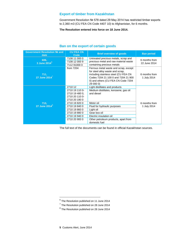#### **Export of timber from Kazakhstan**

Government Resolution № 578 dated 29 May 2014 has restricted timber exports to 2,360 m3 (CU FEA CN Code 4407 10) to Afghanistan, for 6 months.

**The Resolution entered into force on 18 June 2014.**

| Government Resolution № and<br>date | <b>CU FEA CN</b><br>Code                                                                                         | <b>Brief overview of goods</b>                                                                                                                                                                              | <b>Ban period</b>             |  |
|-------------------------------------|------------------------------------------------------------------------------------------------------------------|-------------------------------------------------------------------------------------------------------------------------------------------------------------------------------------------------------------|-------------------------------|--|
| 606,<br>3 June 2014 $^6$            | 7108 11 000 0<br>7108 12 000 9<br>7112 91000 0                                                                   | Untreated precious metals, scrap and<br>precious metal and raw material waste<br>containing precious metals                                                                                                 | 6 months from<br>22 June 2014 |  |
| 711,<br>27 June $2014^7$            | from 7204                                                                                                        | Ferrous metal waste and scrap, except<br>for steel alloy waste and scrap,<br>including stainless steel (CU FEA CN<br>Codes 7204 21 100 0 and 7204 21 900<br>0) and others (CU FEA CN Code 7204<br>29 000 0) | 6 months from<br>1 July 2014  |  |
| 713,<br>27 June 2014 <sup>8</sup>   | 2710 12<br>2710 19 110 0-<br>2710 19 480 0,<br>2710 20 110 0-<br>2710 20 190 0<br>2710 19 820 0<br>2710 19 840 0 | Light distillates and products<br>Medium distillates, kerosene, gas oil<br>and diesel<br>Motor oil<br>Fluid for hydraulic purposes                                                                          | 6 months from<br>1 July 2014  |  |
|                                     | 2710 19 860 0<br>2710 19 880 0<br>2710 19 940 0<br>2710 20 900 0                                                 | Light oil<br>Gear box oil<br>Electric insulation oil<br>Other petroleum products, apart from<br>domestic fuel                                                                                               |                               |  |

#### **Ban on the export of certain goods**

The full text of the documents can be found in official Kazakhstan sources.

l

 $^6$  The Resolution published on 11 June 2014

 $7$  The Resolution published on 28 June 2014

 $^8$  The Resolution published on 28 June 2014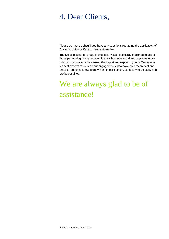### 4. Dear Clients,

Please contact us should you have any questions regarding the application of Customs Union or Kazakhstan customs law.

The Deloitte customs group provides services specifically designed to assist those performing foreign economic activities understand and apply statutory rules and regulations concerning the import and export of goods. We have a team of experts to work on our engagements who have both theoretical and practical customs knowledge, which, in our opinion, is the key to a quality and professional job.

# We are always glad to be of assistance!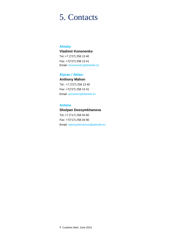### 5. Contacts

#### **Almaty**

#### **Vladimir Kononenko**

Tel.:+7 (727) 258 13 40 Fax: +7(727) 258 13 41 Email: [vkononenko@deloitte.kz](mailto:vkononenko@deloitte.kz)

#### **Atyrau / Aktau:**

**Anthony Mahon** Tel.: +7 (727) 258 13 40 Fax: +7(727) 258 13 41 Email: anmahon@deloitte.kz

#### **Astana**

**Sholpan Dossymkhanova** Tel.:+7 (717) 258 04 80 Fax: +7(717) 258 03 90 Email: sdossymkhanova@deloitte.kz